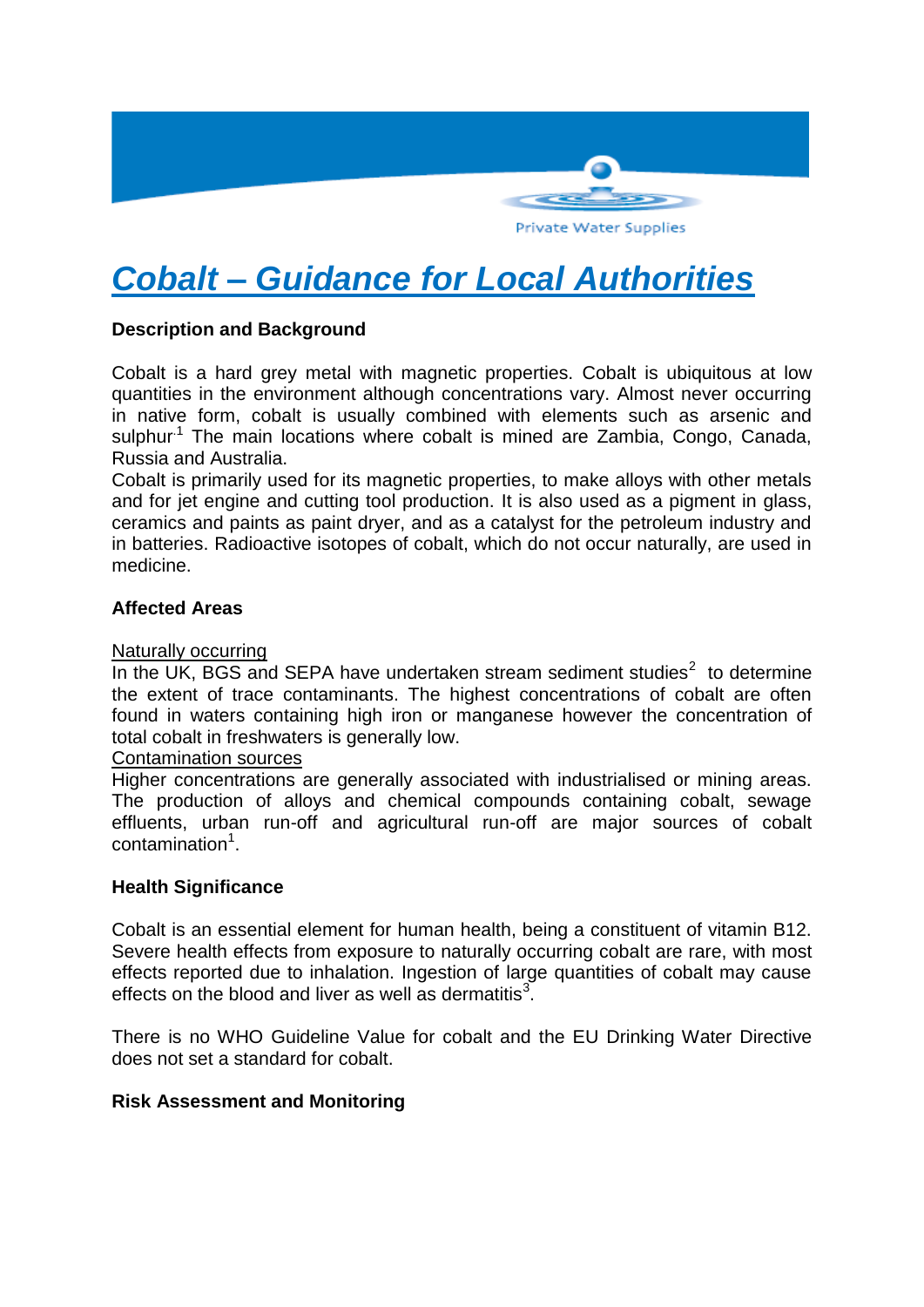

# *Cobalt – Guidance for Local Authorities*

## **Description and Background**

Cobalt is a hard grey metal with magnetic properties. Cobalt is ubiquitous at low quantities in the environment although concentrations vary. Almost never occurring in native form, cobalt is usually combined with elements such as arsenic and sulphur<sup>1</sup> The main locations where cobalt is mined are Zambia, Congo, Canada, Russia and Australia.

Cobalt is primarily used for its magnetic properties, to make alloys with other metals and for jet engine and cutting tool production. It is also used as a pigment in glass, ceramics and paints as paint dryer, and as a catalyst for the petroleum industry and in batteries. Radioactive isotopes of cobalt, which do not occur naturally, are used in medicine.

## **Affected Areas**

#### Naturally occurring

In the UK, BGS and SEPA have undertaken stream sediment studies $2$  to determine the extent of trace contaminants. The highest concentrations of cobalt are often found in waters containing high iron or manganese however the concentration of total cobalt in freshwaters is generally low.

#### Contamination sources

Higher concentrations are generally associated with industrialised or mining areas. The production of alloys and chemical compounds containing cobalt, sewage effluents, urban run-off and agricultural run-off are major sources of cobalt contamination<sup>1</sup>.

#### **Health Significance**

Cobalt is an essential element for human health, being a constituent of vitamin B12. Severe health effects from exposure to naturally occurring cobalt are rare, with most effects reported due to inhalation. Ingestion of large quantities of cobalt may cause effects on the blood and liver as well as dermatitis $3$ .

There is no WHO Guideline Value for cobalt and the EU Drinking Water Directive does not set a standard for cobalt.

## **Risk Assessment and Monitoring**